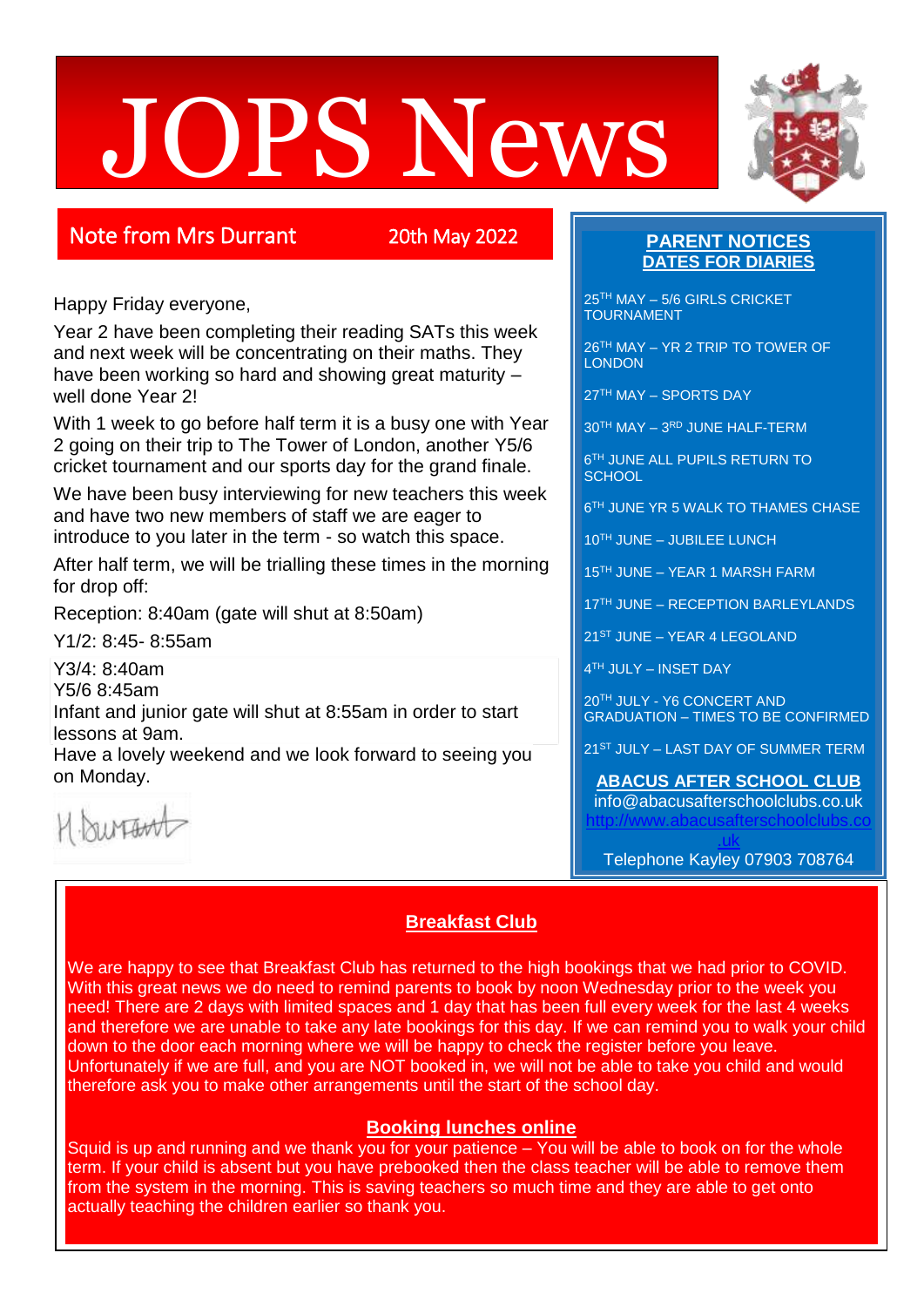# JOPS News



# Note from Mrs Durrant 20th May 2022

Happy Friday everyone,

Year 2 have been completing their reading SATs this week and next week will be concentrating on their maths. They have been working so hard and showing great maturity – well done Year 2!

With 1 week to go before half term it is a busy one with Year 2 going on their trip to The Tower of London, another Y5/6 cricket tournament and our sports day for the grand finale.

We have been busy interviewing for new teachers this week and have two new members of staff we are eager to introduce to you later in the term - so watch this space.

After half term, we will be trialling these times in the morning for drop off:

Reception: 8:40am (gate will shut at 8:50am)

Y1/2: 8:45- 8:55am

Y3/4: 8:40am

Y5/6 8:45am

Infant and junior gate will shut at 8:55am in order to start lessons at 9am.

Have a lovely weekend and we look forward to seeing you on Monday.

H. burtant

## **PARENT NOTICES DATES FOR DIARIES**

25<sup>TH</sup> MAY - 5/6 GIRLS CRICKET TOURNAMENT

26TH MAY – YR 2 TRIP TO TOWER OF **LONDON** 

27TH MAY – SPORTS DAY

30TH MAY – 3 RD JUNE HALF-TERM

6 TH JUNE ALL PUPILS RETURN TO **SCHOOL** 

6 TH JUNE YR 5 WALK TO THAMES CHASE

10TH JUNE – JUBILEE LUNCH

15TH JUNE – YEAR 1 MARSH FARM

17TH JUNE - RECEPTION BARLEYLANDS

21ST JUNE – YEAR 4 LEGOLAND

4 TH JULY – INSET DAY

20TH JULY - Y6 CONCERT AND GRADUATION – TIMES TO BE CONFIRMED

21<sup>ST</sup> JULY – LAST DAY OF SUMMER TERM

**ABACUS AFTER SCHOOL CLUB** info@abacusafterschoolclubs.co.uk [http://www.abacusafterschoolclubs.co](http://www.abacusafterschoolclubs.co.uk/)

[.uk](http://www.abacusafterschoolclubs.co.uk/) Telephone Kayley 07903 708764

# **Breakfast Club**

We are happy to see that Breakfast Club has returned to the high bookings that we had prior to COVID. With this great news we do need to remind parents to book by noon Wednesday prior to the week you need! There are 2 days with limited spaces and 1 day that has been full every week for the last 4 weeks and therefore we are unable to take any late bookings for this day. If we can remind you to walk your child down to the door each morning where we will be happy to check the register before you leave. Unfortunately if we are full, and you are NOT booked in, we will not be able to take you child and would therefore ask you to make other arrangements until the start of the school day.

## **Booking lunches online**

Squid is up and running and we thank you for your patience  $-$  You will be able to book on for the whole term. If your child is absent but you have prebooked then the class teacher will be able to remove them from the system in the morning. This is saving teachers so much time and they are able to get onto actually teaching the children earlier so thank you.